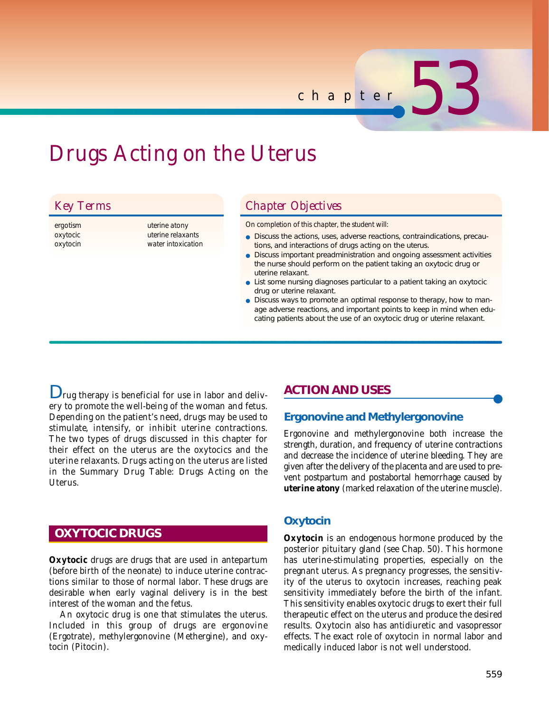*chapter* 

# Drugs Acting on the Uterus

*ergotism oxytocic oxytocin* *uterine atony uterine relaxants water intoxication*

# *Key Terms Chapter Objectives*

*On completion of this chapter, the student will:* 

- Discuss the actions, uses, adverse reactions, contraindications, precautions, and interactions of drugs acting on the uterus.
- Discuss important preadministration and ongoing assessment activities the nurse should perform on the patient taking an oxytocic drug or uterine relaxant.
- List some nursing diagnoses particular to a patient taking an oxytocic drug or uterine relaxant.
- Discuss ways to promote an optimal response to therapy, how to manage adverse reactions, and important points to keep in mind when educating patients about the use of an oxytocic drug or uterine relaxant.

 $\mathbf{D}_{\text{rug}}$  therapy is beneficial for use in labor and delivery to promote the well-being of the woman and fetus. Depending on the patient's need, drugs may be used to stimulate, intensify, or inhibit uterine contractions. The two types of drugs discussed in this chapter for their effect on the uterus are the oxytocics and the uterine relaxants. Drugs acting on the uterus are listed in the Summary Drug Table: Drugs Acting on the Uterus.

# **OXYTOCIC DRUGS**

**Oxytocic** drugs are drugs that are used in antepartum (before birth of the neonate) to induce uterine contractions similar to those of normal labor. These drugs are desirable when early vaginal delivery is in the best interest of the woman and the fetus.

An oxytocic drug is one that stimulates the uterus. Included in this group of drugs are ergonovine (Ergotrate), methylergonovine (Methergine), and oxytocin (Pitocin).

# **ACTION AND USES**

# **Ergonovine and Methylergonovine**

Ergonovine and methylergonovine both increase the strength, duration, and frequency of uterine contractions and decrease the incidence of uterine bleeding. They are given after the delivery of the placenta and are used to prevent postpartum and postabortal hemorrhage caused by **uterine atony** (marked relaxation of the uterine muscle).

# **Oxytocin**

**Oxytocin** is an endogenous hormone produced by the posterior pituitary gland (see Chap. 50). This hormone has uterine-stimulating properties, especially on the pregnant uterus. As pregnancy progresses, the sensitivity of the uterus to oxytocin increases, reaching peak sensitivity immediately before the birth of the infant. This sensitivity enables oxytocic drugs to exert their full therapeutic effect on the uterus and produce the desired results. Oxytocin also has antidiuretic and vasopressor effects. The exact role of oxytocin in normal labor and medically induced labor is not well understood.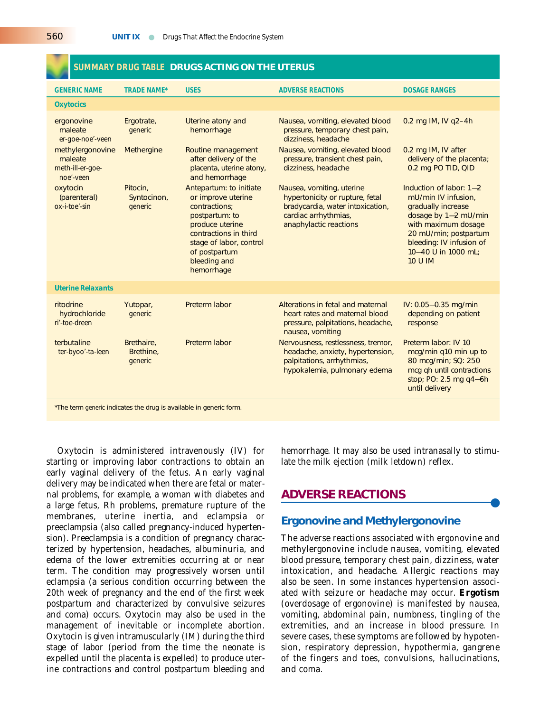## **SUMMARY DRUG TABLE DRUGS ACTING ON THE UTERUS**

| <b>GENERIC NAME</b>                                                | <b>TRADE NAME*</b>                 | <b>USES</b>                                                                                                                                                                                            | <b>ADVERSE REACTIONS</b>                                                                                                                           | <b>DOSAGE RANGES</b>                                                                                                                                                                                              |
|--------------------------------------------------------------------|------------------------------------|--------------------------------------------------------------------------------------------------------------------------------------------------------------------------------------------------------|----------------------------------------------------------------------------------------------------------------------------------------------------|-------------------------------------------------------------------------------------------------------------------------------------------------------------------------------------------------------------------|
| <b>Oxytocics</b>                                                   |                                    |                                                                                                                                                                                                        |                                                                                                                                                    |                                                                                                                                                                                                                   |
| ergonovine<br>maleate<br>er-goe-noe'-veen                          | Ergotrate,<br>generic              | Uterine atony and<br>hemorrhage                                                                                                                                                                        | Nausea, vomiting, elevated blood<br>pressure, temporary chest pain,<br>dizziness, headache                                                         | 0.2 mg IM, IV g2-4h                                                                                                                                                                                               |
| methylergonovine<br>maleate<br>meth-ill-er-goe-<br>noe'-veen       | Methergine                         | Routine management<br>after delivery of the<br>placenta, uterine atony,<br>and hemorrhage                                                                                                              | Nausea, vomiting, elevated blood<br>pressure, transient chest pain,<br>dizziness, headache                                                         | 0.2 mg IM, IV after<br>delivery of the placenta;<br>0.2 mg PO TID, QID                                                                                                                                            |
| oxytocin<br>(parenteral)<br>ox-i-toe'-sin                          | Pitocin,<br>Syntocinon,<br>generic | Antepartum: to initiate<br>or improve uterine<br>contractions:<br>postpartum: to<br>produce uterine<br>contractions in third<br>stage of labor, control<br>of postpartum<br>bleeding and<br>hemorrhage | Nausea, vomiting, uterine<br>hypertonicity or rupture, fetal<br>bradycardia, water intoxication,<br>cardiac arrhythmias,<br>anaphylactic reactions | Induction of labor: 1-2<br>mU/min IV infusion,<br>gradually increase<br>dosage by 1-2 mU/min<br>with maximum dosage<br>20 mU/min; postpartum<br>bleeding: IV infusion of<br>10-40 U in 1000 mL:<br><b>10 U IM</b> |
| <b>Uterine Relaxants</b>                                           |                                    |                                                                                                                                                                                                        |                                                                                                                                                    |                                                                                                                                                                                                                   |
| ritodrine<br>hydrochloride<br>ri'-toe-dreen                        | Yutopar,<br>generic                | Preterm labor                                                                                                                                                                                          | Alterations in fetal and maternal<br>heart rates and maternal blood<br>pressure, palpitations, headache,<br>nausea, vomiting                       | IV: 0.05-0.35 mg/min<br>depending on patient<br>response                                                                                                                                                          |
| terbutaline<br>ter-byoo'-ta-leen                                   | Brethaire,<br>Brethine,<br>generic | Preterm labor                                                                                                                                                                                          | Nervousness, restlessness, tremor,<br>headache, anxiety, hypertension,<br>palpitations, arrhythmias,<br>hypokalemia, pulmonary edema               | Preterm labor: IV 10<br>mcg/min q10 min up to<br>80 mcg/min; SQ: 250<br>mcg qh until contractions<br>stop; PO: 2.5 mg q4-6h<br>until delivery                                                                     |
| *The term generic indicates the drug is available in generic form. |                                    |                                                                                                                                                                                                        |                                                                                                                                                    |                                                                                                                                                                                                                   |

Oxytocin is administered intravenously (IV) for starting or improving labor contractions to obtain an early vaginal delivery of the fetus. An early vaginal delivery may be indicated when there are fetal or maternal problems, for example, a woman with diabetes and a large fetus, Rh problems, premature rupture of the membranes, uterine inertia, and eclampsia or preeclampsia (also called pregnancy-induced hypertension). Preeclampsia is a condition of pregnancy characterized by hypertension, headaches, albuminuria, and edema of the lower extremities occurring at or near term. The condition may progressively worsen until eclampsia (a serious condition occurring between the 20th week of pregnancy and the end of the first week postpartum and characterized by convulsive seizures and coma) occurs. Oxytocin may also be used in the management of inevitable or incomplete abortion. Oxytocin is given intramuscularly (IM) during the third stage of labor (period from the time the neonate is expelled until the placenta is expelled) to produce uterine contractions and control postpartum bleeding and

hemorrhage. It may also be used intranasally to stimulate the milk ejection (milk letdown) reflex.

# **ADVERSE REACTIONS** ●

# **Ergonovine and Methylergonovine**

The adverse reactions associated with ergonovine and methylergonovine include nausea, vomiting, elevated blood pressure, temporary chest pain, dizziness, water intoxication, and headache. Allergic reactions may also be seen. In some instances hypertension associated with seizure or headache may occur. **Ergotism** (overdosage of ergonovine) is manifested by nausea, vomiting, abdominal pain, numbness, tingling of the extremities, and an increase in blood pressure. In severe cases, these symptoms are followed by hypotension, respiratory depression, hypothermia, gangrene of the fingers and toes, convulsions, hallucinations, and coma.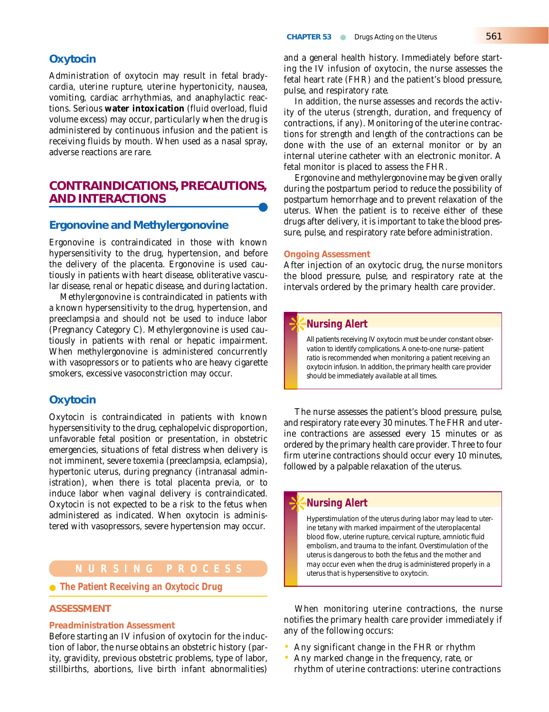# **Oxytocin**

Administration of oxytocin may result in fetal bradycardia, uterine rupture, uterine hypertonicity, nausea, vomiting, cardiac arrhythmias, and anaphylactic reactions. Serious **water intoxication** (fluid overload, fluid volume excess) may occur, particularly when the drug is administered by continuous infusion and the patient is receiving fluids by mouth. When used as a nasal spray, adverse reactions are rare.

# **CONTRAINDICATIONS, PRECAUTIONS, AND INTERACTIONS**

# **Ergonovine and Methylergonovine**

Ergonovine is contraindicated in those with known hypersensitivity to the drug, hypertension, and before the delivery of the placenta. Ergonovine is used cautiously in patients with heart disease, obliterative vascular disease, renal or hepatic disease, and during lactation.

Methylergonovine is contraindicated in patients with a known hypersensitivity to the drug, hypertension, and preeclampsia and should not be used to induce labor (Pregnancy Category C). Methylergonovine is used cautiously in patients with renal or hepatic impairment. When methylergonovine is administered concurrently with vasopressors or to patients who are heavy cigarette smokers, excessive vasoconstriction may occur.

# **Oxytocin**

Oxytocin is contraindicated in patients with known hypersensitivity to the drug, cephalopelvic disproportion, unfavorable fetal position or presentation, in obstetric emergencies, situations of fetal distress when delivery is not imminent, severe toxemia (preeclampsia, eclampsia), hypertonic uterus, during pregnancy (intranasal administration), when there is total placenta previa, or to induce labor when vaginal delivery is contraindicated. Oxytocin is not expected to be a risk to the fetus when administered as indicated. When oxytocin is administered with vasopressors, severe hypertension may occur.

● **The Patient Receiving an Oxytocic Drug**

# **ASSESSMENT**

#### *Preadministration Assessment*

Before starting an IV infusion of oxytocin for the induction of labor, the nurse obtains an obstetric history (parity, gravidity, previous obstetric problems, type of labor, stillbirths, abortions, live birth infant abnormalities) and a general health history. Immediately before starting the IV infusion of oxytocin, the nurse assesses the fetal heart rate (FHR) and the patient's blood pressure, pulse, and respiratory rate.

In addition, the nurse assesses and records the activity of the uterus (strength, duration, and frequency of contractions, if any). Monitoring of the uterine contractions for strength and length of the contractions can be done with the use of an external monitor or by an internal uterine catheter with an electronic monitor. A fetal monitor is placed to assess the FHR.

Ergonovine and methylergonovine may be given orally during the postpartum period to reduce the possibility of postpartum hemorrhage and to prevent relaxation of the uterus. When the patient is to receive either of these drugs after delivery, it is important to take the blood pressure, pulse, and respiratory rate before administration.

#### *Ongoing Assessment*

After injection of an oxytocic drug, the nurse monitors the blood pressure, pulse, and respiratory rate at the intervals ordered by the primary health care provider.

# **Nursing Alert**

*All patients receiving IV oxytocin must be under constant observation to identify complications. A one-to-one nurse–patient ratio is recommended when monitoring a patient receiving an oxytocin infusion. In addition, the primary health care provider should be immediately available at all times.* 

The nurse assesses the patient's blood pressure, pulse, and respiratory rate every 30 minutes. The FHR and uterine contractions are assessed every 15 minutes or as ordered by the primary health care provider. Three to four firm uterine contractions should occur every 10 minutes, followed by a palpable relaxation of the uterus.

# ❊**Nursing Alert**

*Hyperstimulation of the uterus during labor may lead to uterine tetany with marked impairment of the uteroplacental blood flow, uterine rupture, cervical rupture, amniotic fluid embolism, and trauma to the infant. Overstimulation of the uterus is dangerous to both the fetus and the mother and may occur even when the drug is administered properly in a uterus that is hypersensitive to oxytocin.* 

When monitoring uterine contractions, the nurse notifies the primary health care provider immediately if any of the following occurs:

- Any significant change in the FHR or rhythm
- Any marked change in the frequency, rate, or rhythm of uterine contractions: uterine contractions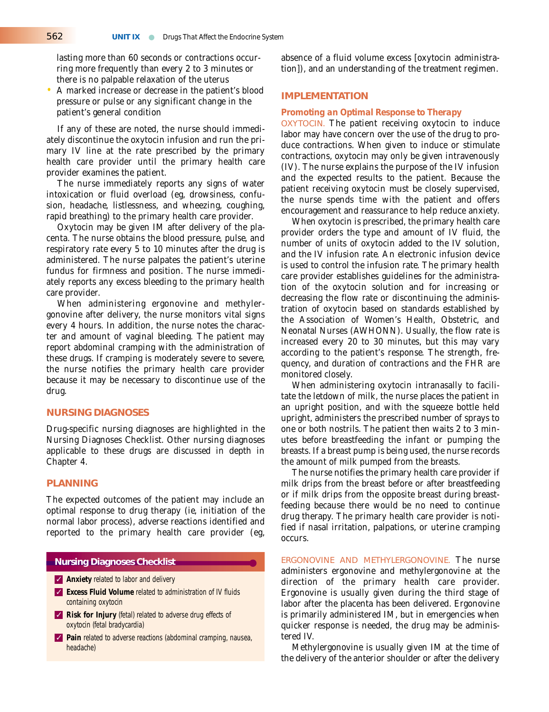lasting more than 60 seconds or contractions occurring more frequently than every 2 to 3 minutes or there is no palpable relaxation of the uterus

• A marked increase or decrease in the patient's blood pressure or pulse or any significant change in the patient's general condition

If any of these are noted, the nurse should immediately discontinue the oxytocin infusion and run the primary IV line at the rate prescribed by the primary health care provider until the primary health care provider examines the patient.

The nurse immediately reports any signs of water intoxication or fluid overload (eg, drowsiness, confusion, headache, listlessness, and wheezing, coughing, rapid breathing) to the primary health care provider.

Oxytocin may be given IM after delivery of the placenta. The nurse obtains the blood pressure, pulse, and respiratory rate every 5 to 10 minutes after the drug is administered. The nurse palpates the patient's uterine fundus for firmness and position. The nurse immediately reports any excess bleeding to the primary health care provider.

When administering ergonovine and methylergonovine after delivery, the nurse monitors vital signs every 4 hours. In addition, the nurse notes the character and amount of vaginal bleeding. The patient may report abdominal cramping with the administration of these drugs. If cramping is moderately severe to severe, the nurse notifies the primary health care provider because it may be necessary to discontinue use of the drug.

# **NURSING DIAGNOSES**

Drug-specific nursing diagnoses are highlighted in the Nursing Diagnoses Checklist. Other nursing diagnoses applicable to these drugs are discussed in depth in Chapter 4.

#### **PLANNING**

The expected outcomes of the patient may include an optimal response to drug therapy (ie, initiation of the normal labor process), adverse reactions identified and reported to the primary health care provider (eg,

#### **Nursing Diagnoses Checklist**

- **✓ Anxiety** related to labor and delivery
- ✓ **Excess Fluid Volume** related to administration of IV fluids containing oxytocin
- ✓ **Risk for Injury** (fetal) related to adverse drug effects of oxytocin (fetal bradycardia)
- ✓ **Pain** related to adverse reactions (abdominal cramping, nausea, headache)

absence of a fluid volume excess [oxytocin administration]), and an understanding of the treatment regimen.

#### **IMPLEMENTATION**

#### *Promoting an Optimal Response to Therapy*

OXYTOCIN. The patient receiving oxytocin to induce labor may have concern over the use of the drug to produce contractions. When given to induce or stimulate contractions, oxytocin may only be given intravenously (IV). The nurse explains the purpose of the IV infusion and the expected results to the patient. Because the patient receiving oxytocin must be closely supervised, the nurse spends time with the patient and offers encouragement and reassurance to help reduce anxiety.

When oxytocin is prescribed, the primary health care provider orders the type and amount of IV fluid, the number of units of oxytocin added to the IV solution, and the IV infusion rate. An electronic infusion device is used to control the infusion rate. The primary health care provider establishes guidelines for the administration of the oxytocin solution and for increasing or decreasing the flow rate or discontinuing the administration of oxytocin based on standards established by the Association of Women's Health, Obstetric, and Neonatal Nurses (AWHONN). Usually, the flow rate is increased every 20 to 30 minutes, but this may vary according to the patient's response. The strength, frequency, and duration of contractions and the FHR are monitored closely.

When administering oxytocin intranasally to facilitate the letdown of milk, the nurse places the patient in an upright position, and with the squeeze bottle held upright, administers the prescribed number of sprays to one or both nostrils. The patient then waits 2 to 3 minutes before breastfeeding the infant or pumping the breasts. If a breast pump is being used, the nurse records the amount of milk pumped from the breasts.

The nurse notifies the primary health care provider if milk drips from the breast before or after breastfeeding or if milk drips from the opposite breast during breastfeeding because there would be no need to continue drug therapy. The primary health care provider is notified if nasal irritation, palpations, or uterine cramping occurs.

ERGONOVINE AND METHYLERGONOVINE. The nurse administers ergonovine and methylergonovine at the direction of the primary health care provider. Ergonovine is usually given during the third stage of labor after the placenta has been delivered. Ergonovine is primarily administered IM, but in emergencies when quicker response is needed, the drug may be administered IV.

Methylergonovine is usually given IM at the time of the delivery of the anterior shoulder or after the delivery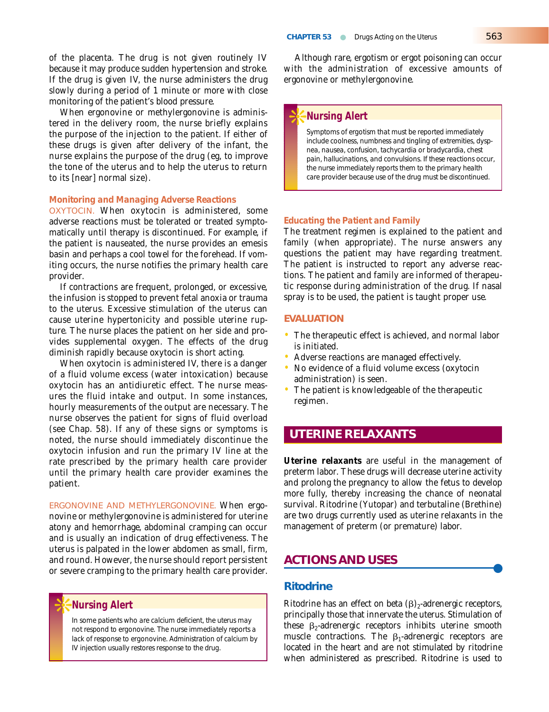When ergonovine or methylergonovine is administered in the delivery room, the nurse briefly explains the purpose of the injection to the patient. If either of these drugs is given after delivery of the infant, the nurse explains the purpose of the drug (eg, to improve the tone of the uterus and to help the uterus to return to its [near] normal size).

# *Monitoring and Managing Adverse Reactions*

OXYTOCIN. When oxytocin is administered, some adverse reactions must be tolerated or treated symptomatically until therapy is discontinued. For example, if the patient is nauseated, the nurse provides an emesis basin and perhaps a cool towel for the forehead. If vomiting occurs, the nurse notifies the primary health care provider.

If contractions are frequent, prolonged, or excessive, the infusion is stopped to prevent fetal anoxia or trauma to the uterus. Excessive stimulation of the uterus can cause uterine hypertonicity and possible uterine rupture. The nurse places the patient on her side and provides supplemental oxygen. The effects of the drug diminish rapidly because oxytocin is short acting.

When oxytocin is administered IV, there is a danger of a fluid volume excess (water intoxication) because oxytocin has an antidiuretic effect. The nurse measures the fluid intake and output. In some instances, hourly measurements of the output are necessary. The nurse observes the patient for signs of fluid overload (see Chap. 58). If any of these signs or symptoms is noted, the nurse should immediately discontinue the oxytocin infusion and run the primary IV line at the rate prescribed by the primary health care provider until the primary health care provider examines the patient.

ERGONOVINE AND METHYLERGONOVINE. When ergonovine or methylergonovine is administered for uterine atony and hemorrhage, abdominal cramping can occur and is usually an indication of drug effectiveness. The uterus is palpated in the lower abdomen as small, firm, and round. However, the nurse should report persistent or severe cramping to the primary health care provider.

# ❊**Nursing Alert**

*In some patients who are calcium deficient, the uterus may not respond to ergonovine. The nurse immediately reports a lack of response to ergonovine. Administration of calcium by IV injection usually restores response to the drug.* 

Although rare, ergotism or ergot poisoning can occur with the administration of excessive amounts of ergonovine or methylergonovine.

# ❊**Nursing Alert**

*Symptoms of ergotism that must be reported immediately include coolness, numbness and tingling of extremities, dyspnea, nausea, confusion, tachycardia or bradycardia, chest pain, hallucinations, and convulsions. If these reactions occur, the nurse immediately reports them to the primary health care provider because use of the drug must be discontinued.* 

#### *Educating the Patient and Family*

The treatment regimen is explained to the patient and family (when appropriate). The nurse answers any questions the patient may have regarding treatment. The patient is instructed to report any adverse reactions. The patient and family are informed of therapeutic response during administration of the drug. If nasal spray is to be used, the patient is taught proper use.

# **EVALUATION**

- The therapeutic effect is achieved, and normal labor is initiated.
- Adverse reactions are managed effectively.
- No evidence of a fluid volume excess (oxytocin administration) is seen.
- The patient is knowledgeable of the therapeutic regimen.

# **UTERINE RELAXANTS**

**Uterine relaxants** are useful in the management of preterm labor. These drugs will decrease uterine activity and prolong the pregnancy to allow the fetus to develop more fully, thereby increasing the chance of neonatal survival. Ritodrine (Yutopar) and terbutaline (Brethine) are two drugs currently used as uterine relaxants in the management of preterm (or premature) labor.

# **ACTIONS AND USES** ●

# **Ritodrine**

Ritodrine has an effect on beta ( $\beta$ )<sub>2</sub>-adrenergic receptors, principally those that innervate the uterus. Stimulation of these  $\beta_2$ -adrenergic receptors inhibits uterine smooth muscle contractions. The  $\beta_1$ -adrenergic receptors are located in the heart and are not stimulated by ritodrine when administered as prescribed. Ritodrine is used to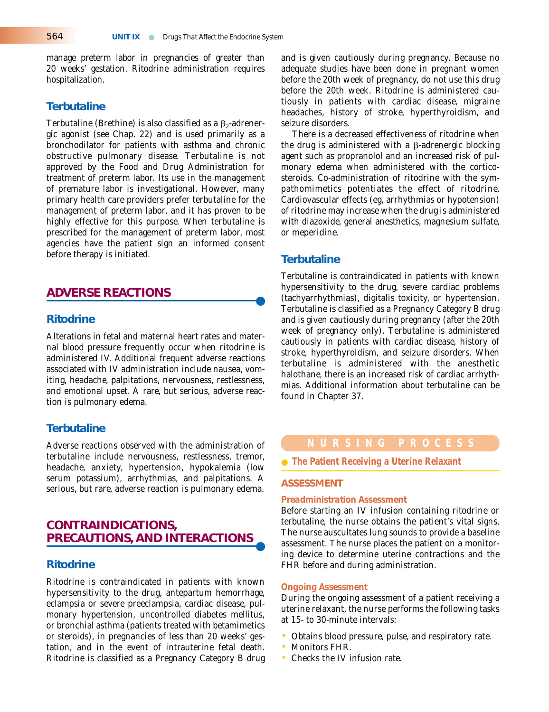manage preterm labor in pregnancies of greater than 20 weeks' gestation. Ritodrine administration requires hospitalization.

# **Terbutaline**

Terbutaline (Brethine) is also classified as a  $\beta_2$ -adrenergic agonist (see Chap. 22) and is used primarily as a bronchodilator for patients with asthma and chronic obstructive pulmonary disease. Terbutaline is not approved by the Food and Drug Administration for treatment of preterm labor. Its use in the management of premature labor is investigational. However, many primary health care providers prefer terbutaline for the management of preterm labor, and it has proven to be highly effective for this purpose. When terbutaline is prescribed for the management of preterm labor, most agencies have the patient sign an informed consent before therapy is initiated.

# **ADVERSE REACTIONS**

# **Ritodrine**

Alterations in fetal and maternal heart rates and maternal blood pressure frequently occur when ritodrine is administered IV. Additional frequent adverse reactions associated with IV administration include nausea, vomiting, headache, palpitations, nervousness, restlessness, and emotional upset. A rare, but serious, adverse reaction is pulmonary edema.

# **Terbutaline**

Adverse reactions observed with the administration of terbutaline include nervousness, restlessness, tremor, headache, anxiety, hypertension, hypokalemia (low serum potassium), arrhythmias, and palpitations. A serious, but rare, adverse reaction is pulmonary edema.

# **CONTRAINDICATIONS, PRECAUTIONS, AND INTERACTIONS**

# **Ritodrine**

Ritodrine is contraindicated in patients with known hypersensitivity to the drug, antepartum hemorrhage, eclampsia or severe preeclampsia, cardiac disease, pulmonary hypertension, uncontrolled diabetes mellitus, or bronchial asthma (patients treated with betamimetics or steroids), in pregnancies of less than 20 weeks' gestation, and in the event of intrauterine fetal death. Ritodrine is classified as a Pregnancy Category B drug and is given cautiously during pregnancy. Because no adequate studies have been done in pregnant women before the 20th week of pregnancy, do not use this drug before the 20th week. Ritodrine is administered cautiously in patients with cardiac disease, migraine headaches, history of stroke, hyperthyroidism, and seizure disorders.

There is a decreased effectiveness of ritodrine when the drug is administered with a  $\beta$ -adrenergic blocking agent such as propranolol and an increased risk of pulmonary edema when administered with the corticosteroids. Co-administration of ritodrine with the sympathomimetics potentiates the effect of ritodrine. Cardiovascular effects (eg, arrhythmias or hypotension) of ritodrine may increase when the drug is administered with diazoxide, general anesthetics, magnesium sulfate, or meperidine.

# **Terbutaline**

Terbutaline is contraindicated in patients with known hypersensitivity to the drug, severe cardiac problems (tachyarrhythmias), digitalis toxicity, or hypertension. Terbutaline is classified as a Pregnancy Category B drug and is given cautiously during pregnancy (after the 20th week of pregnancy only). Terbutaline is administered cautiously in patients with cardiac disease, history of stroke, hyperthyroidism, and seizure disorders. When terbutaline is administered with the anesthetic halothane, there is an increased risk of cardiac arrhythmias. Additional information about terbutaline can be found in Chapter 37.

# **NURSING PROCESS**

● **The Patient Receiving a Uterine Relaxant**

# **ASSESSMENT**

#### *Preadministration Assessment*

Before starting an IV infusion containing ritodrine or terbutaline, the nurse obtains the patient's vital signs. The nurse auscultates lung sounds to provide a baseline assessment. The nurse places the patient on a monitoring device to determine uterine contractions and the FHR before and during administration.

#### *Ongoing Assessment*

During the ongoing assessment of a patient receiving a uterine relaxant, the nurse performs the following tasks at 15- to 30-minute intervals:

- Obtains blood pressure, pulse, and respiratory rate.
- Monitors FHR.
- Checks the IV infusion rate.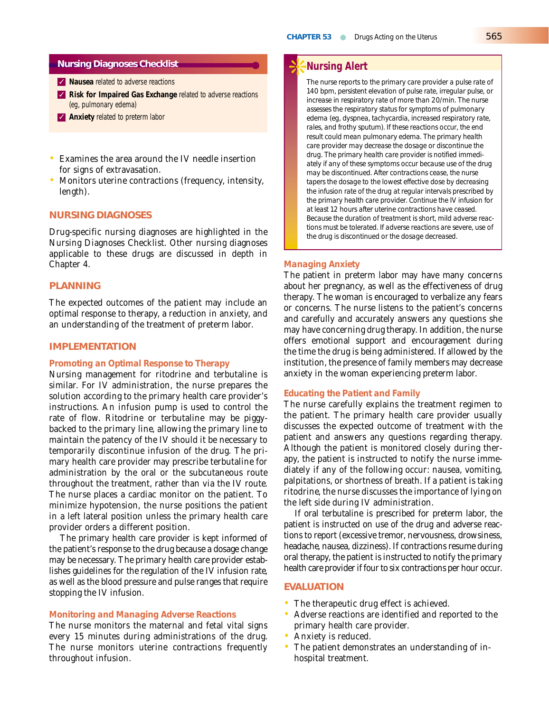#### **Nursing Diagnoses Checklist**

- ✓ **Nausea** related to adverse reactions
- ✓ **Risk for Impaired Gas Exchange** related to adverse reactions (eg, pulmonary edema)
- ✓ **Anxiety** related to preterm labor
- Examines the area around the IV needle insertion for signs of extravasation.
- Monitors uterine contractions (frequency, intensity, length).

#### **NURSING DIAGNOSES**

Drug-specific nursing diagnoses are highlighted in the Nursing Diagnoses Checklist. Other nursing diagnoses applicable to these drugs are discussed in depth in Chapter 4.

### **PLANNING**

The expected outcomes of the patient may include an optimal response to therapy, a reduction in anxiety, and an understanding of the treatment of preterm labor.

### **IMPLEMENTATION**

#### *Promoting an Optimal Response to Therapy*

Nursing management for ritodrine and terbutaline is similar. For IV administration, the nurse prepares the solution according to the primary health care provider's instructions. An infusion pump is used to control the rate of flow. Ritodrine or terbutaline may be piggybacked to the primary line, allowing the primary line to maintain the patency of the IV should it be necessary to temporarily discontinue infusion of the drug. The primary health care provider may prescribe terbutaline for administration by the oral or the subcutaneous route throughout the treatment, rather than via the IV route. The nurse places a cardiac monitor on the patient. To minimize hypotension, the nurse positions the patient in a left lateral position unless the primary health care provider orders a different position.

The primary health care provider is kept informed of the patient's response to the drug because a dosage change may be necessary. The primary health care provider establishes guidelines for the regulation of the IV infusion rate, as well as the blood pressure and pulse ranges that require stopping the IV infusion.

#### *Monitoring and Managing Adverse Reactions*

The nurse monitors the maternal and fetal vital signs every 15 minutes during administrations of the drug. The nurse monitors uterine contractions frequently throughout infusion.

# ❊**Nursing Alert**

*The nurse reports to the primary care provider a pulse rate of 140 bpm, persistent elevation of pulse rate, irregular pulse, or increase in respiratory rate of more than 20/min. The nurse assesses the respiratory status for symptoms of pulmonary edema (eg, dyspnea, tachycardia, increased respiratory rate, rales, and frothy sputum). If these reactions occur, the end result could mean pulmonary edema. The primary health care provider may decrease the dosage or discontinue the drug. The primary health care provider is notified immediately if any of these symptoms occur because use of the drug may be discontinued. After contractions cease, the nurse tapers the dosage to the lowest effective dose by decreasing the infusion rate of the drug at regular intervals prescribed by the primary health care provider. Continue the IV infusion for at least 12 hours after uterine contractions have ceased. Because the duration of treatment is short, mild adverse reactions must be tolerated. If adverse reactions are severe, use of the drug is discontinued or the dosage decreased.* 

#### *Managing Anxiety*

The patient in preterm labor may have many concerns about her pregnancy, as well as the effectiveness of drug therapy. The woman is encouraged to verbalize any fears or concerns. The nurse listens to the patient's concerns and carefully and accurately answers any questions she may have concerning drug therapy. In addition, the nurse offers emotional support and encouragement during the time the drug is being administered. If allowed by the institution, the presence of family members may decrease anxiety in the woman experiencing preterm labor.

#### *Educating the Patient and Family*

The nurse carefully explains the treatment regimen to the patient. The primary health care provider usually discusses the expected outcome of treatment with the patient and answers any questions regarding therapy. Although the patient is monitored closely during therapy, the patient is instructed to notify the nurse immediately if any of the following occur: nausea, vomiting, palpitations, or shortness of breath. If a patient is taking ritodrine, the nurse discusses the importance of lying on the left side during IV administration.

If oral terbutaline is prescribed for preterm labor, the patient is instructed on use of the drug and adverse reactions to report (excessive tremor, nervousness, drowsiness, headache, nausea, dizziness). If contractions resume during oral therapy, the patient is instructed to notify the primary health care provider if four to six contractions per hour occur.

# **EVALUATION**

- The therapeutic drug effect is achieved.
- Adverse reactions are identified and reported to the primary health care provider.
- Anxiety is reduced.
- The patient demonstrates an understanding of inhospital treatment.